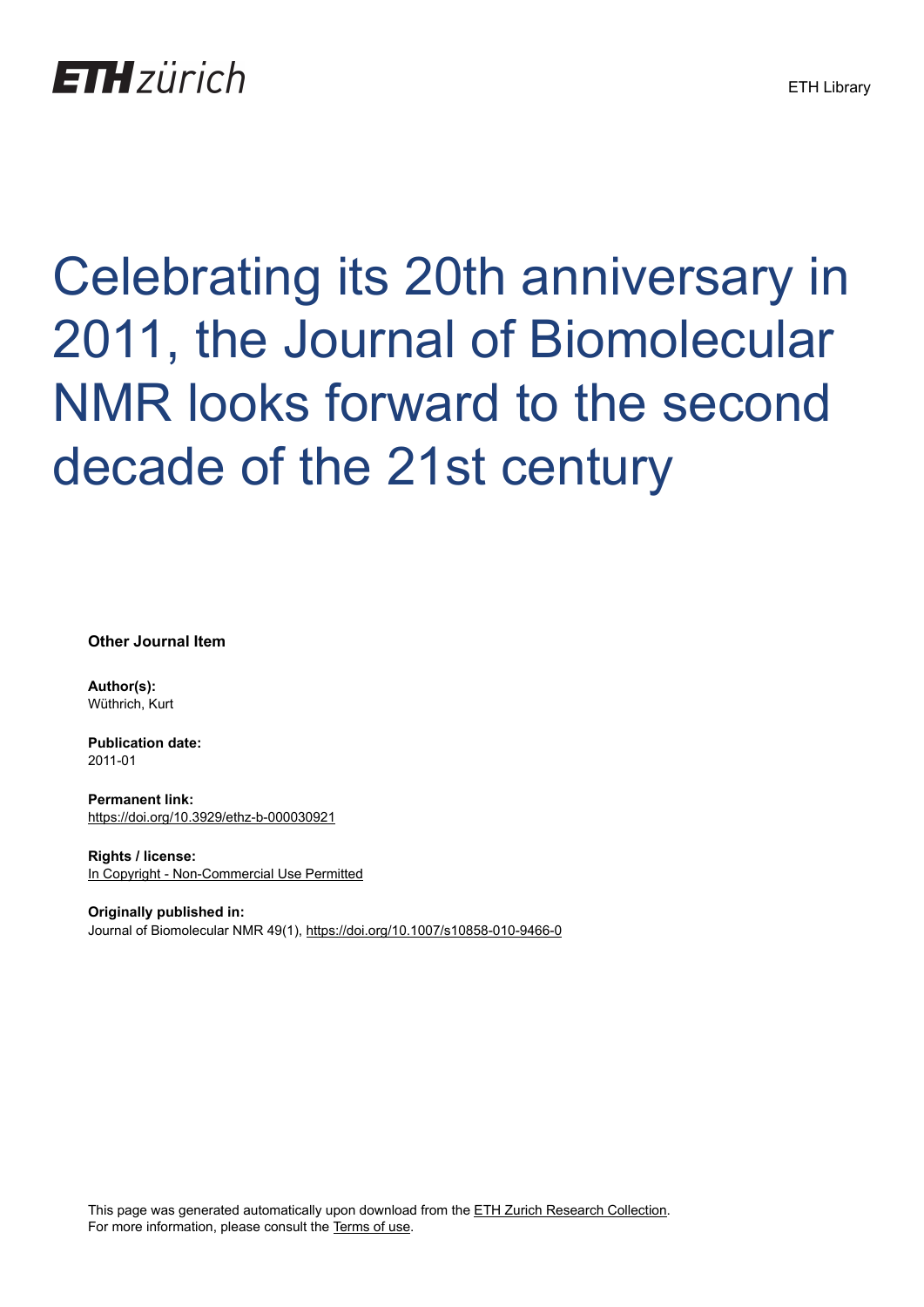## **ETH** zürich

# Celebrating its 20th anniversary in 2011, the Journal of Biomolecular NMR looks forward to the second decade of the 21st century

**Other Journal Item**

**Author(s):** Wüthrich, Kurt

**Publication date:** 2011-01

**Permanent link:** <https://doi.org/10.3929/ethz-b-000030921>

**Rights / license:** [In Copyright - Non-Commercial Use Permitted](http://rightsstatements.org/page/InC-NC/1.0/)

**Originally published in:** Journal of Biomolecular NMR 49(1),<https://doi.org/10.1007/s10858-010-9466-0>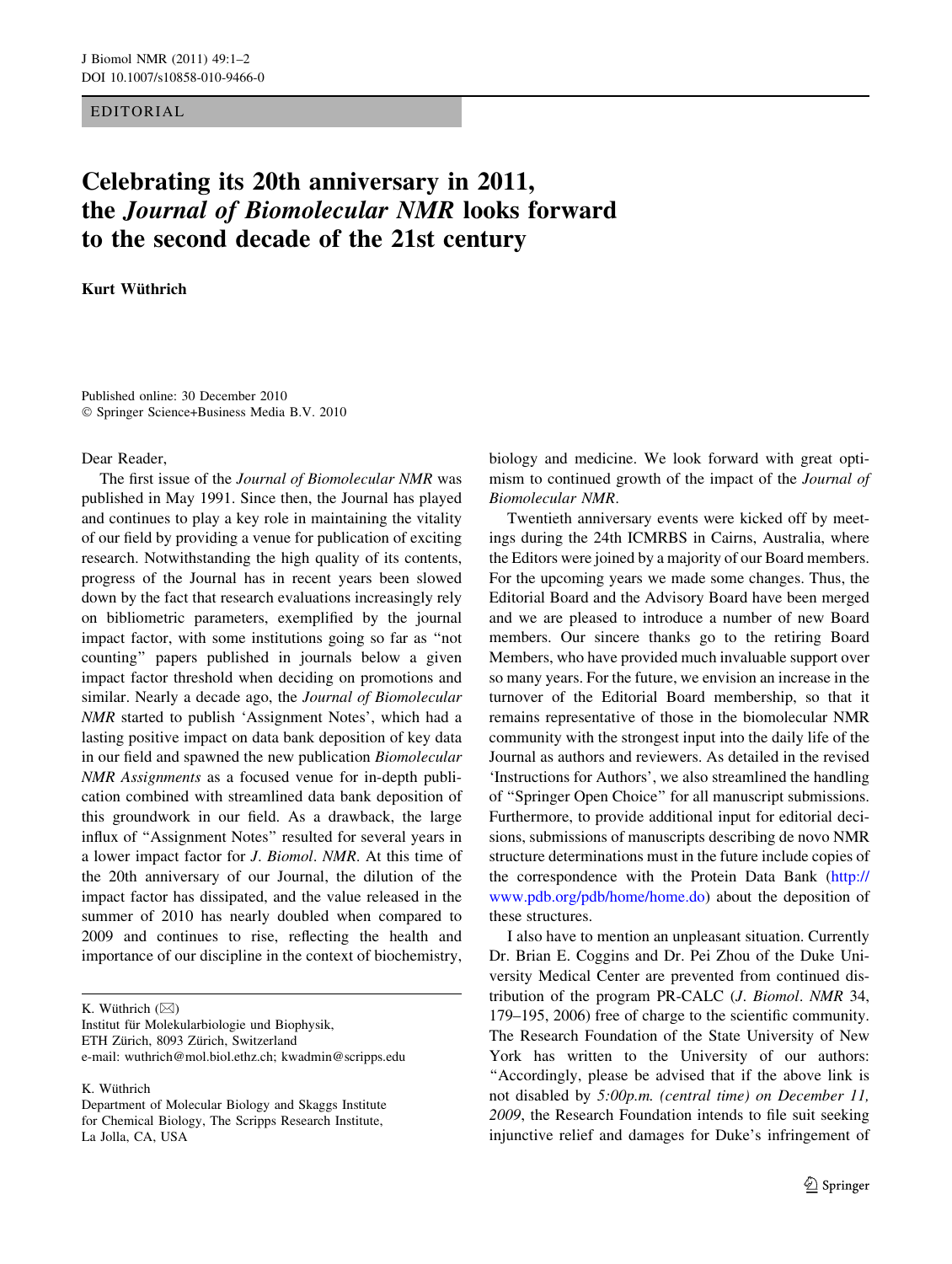#### EDITORIAL

### Celebrating its 20th anniversary in 2011, the Journal of Biomolecular NMR looks forward to the second decade of the 21st century

Kurt Wüthrich

Published online: 30 December 2010 - Springer Science+Business Media B.V. 2010

#### Dear Reader,

The first issue of the Journal of Biomolecular NMR was published in May 1991. Since then, the Journal has played and continues to play a key role in maintaining the vitality of our field by providing a venue for publication of exciting research. Notwithstanding the high quality of its contents, progress of the Journal has in recent years been slowed down by the fact that research evaluations increasingly rely on bibliometric parameters, exemplified by the journal impact factor, with some institutions going so far as ''not counting'' papers published in journals below a given impact factor threshold when deciding on promotions and similar. Nearly a decade ago, the Journal of Biomolecular NMR started to publish 'Assignment Notes', which had a lasting positive impact on data bank deposition of key data in our field and spawned the new publication Biomolecular NMR Assignments as a focused venue for in-depth publication combined with streamlined data bank deposition of this groundwork in our field. As a drawback, the large influx of ''Assignment Notes'' resulted for several years in a lower impact factor for J. Biomol. NMR. At this time of the 20th anniversary of our Journal, the dilution of the impact factor has dissipated, and the value released in the summer of 2010 has nearly doubled when compared to 2009 and continues to rise, reflecting the health and importance of our discipline in the context of biochemistry,

K. Wüthrich  $(\boxtimes)$ 

Institut für Molekularbiologie und Biophysik, ETH Zürich, 8093 Zürich, Switzerland e-mail: wuthrich@mol.biol.ethz.ch; kwadmin@scripps.edu

K. Wüthrich

Department of Molecular Biology and Skaggs Institute for Chemical Biology, The Scripps Research Institute, La Jolla, CA, USA

biology and medicine. We look forward with great optimism to continued growth of the impact of the Journal of Biomolecular NMR.

Twentieth anniversary events were kicked off by meetings during the 24th ICMRBS in Cairns, Australia, where the Editors were joined by a majority of our Board members. For the upcoming years we made some changes. Thus, the Editorial Board and the Advisory Board have been merged and we are pleased to introduce a number of new Board members. Our sincere thanks go to the retiring Board Members, who have provided much invaluable support over so many years. For the future, we envision an increase in the turnover of the Editorial Board membership, so that it remains representative of those in the biomolecular NMR community with the strongest input into the daily life of the Journal as authors and reviewers. As detailed in the revised 'Instructions for Authors', we also streamlined the handling of ''Springer Open Choice'' for all manuscript submissions. Furthermore, to provide additional input for editorial decisions, submissions of manuscripts describing de novo NMR structure determinations must in the future include copies of the correspondence with the Protein Data Bank [\(http://](http://www.pdb.org/pdb/home/home.do) [www.pdb.org/pdb/home/home.do](http://www.pdb.org/pdb/home/home.do)) about the deposition of these structures.

I also have to mention an unpleasant situation. Currently Dr. Brian E. Coggins and Dr. Pei Zhou of the Duke University Medical Center are prevented from continued distribution of the program PR-CALC (J. Biomol. NMR 34, 179–195, 2006) free of charge to the scientific community. The Research Foundation of the State University of New York has written to the University of our authors: ''Accordingly, please be advised that if the above link is not disabled by 5:00p.m. (central time) on December 11, 2009, the Research Foundation intends to file suit seeking injunctive relief and damages for Duke's infringement of